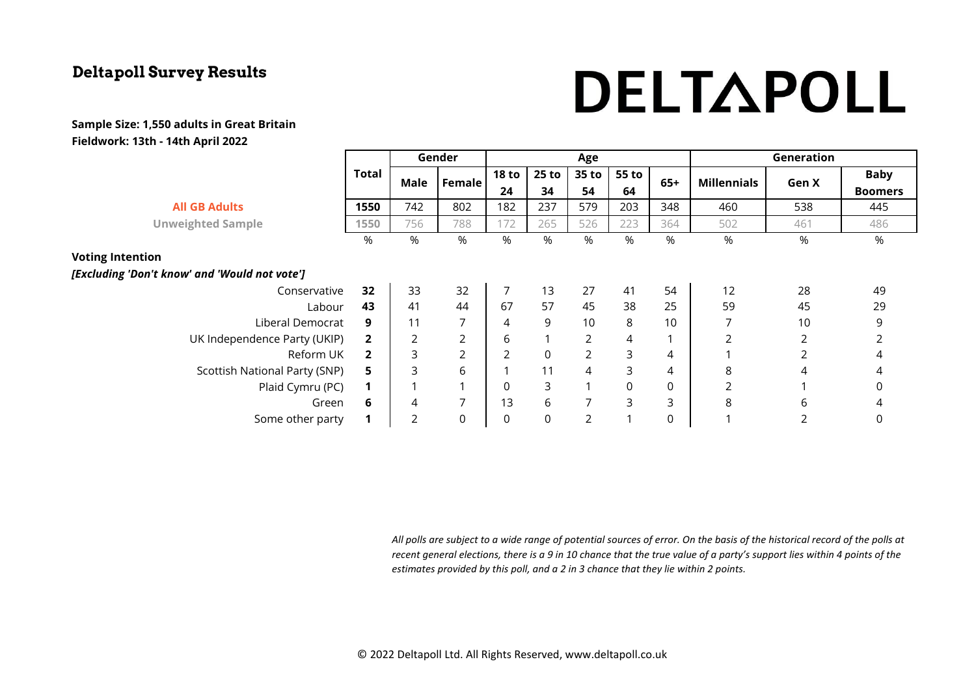# DELTAPOLL

#### **Sample Size: 1,550 adults in Great Britain Fieldwork: 13th - 14th April 2022**

|                                               |                | Gender |                  | Age              |                  |                |       |       | Generation         |                |                |
|-----------------------------------------------|----------------|--------|------------------|------------------|------------------|----------------|-------|-------|--------------------|----------------|----------------|
|                                               | Total          | Male   | Female           | <b>18 to</b>     | 25 to            | 35 to          | 55 to | $65+$ | <b>Millennials</b> | Gen X          | <b>Baby</b>    |
|                                               |                |        |                  | 24               | 34               | 54             | 64    |       |                    |                | <b>Boomers</b> |
| <b>All GB Adults</b>                          | 1550           | 742    | 802              | 182              | 237              | 579            | 203   | 348   | 460                | 538            | 445            |
| <b>Unweighted Sample</b>                      | 1550           | 756    | 788              | 172              | 265              | 526            | 223   | 364   | 502                | 461            | 486            |
|                                               | %              | %      | %                | %                | %                | %              | %     | %     | %                  | %              | %              |
| <b>Voting Intention</b>                       |                |        |                  |                  |                  |                |       |       |                    |                |                |
| [Excluding 'Don't know' and 'Would not vote'] |                |        |                  |                  |                  |                |       |       |                    |                |                |
| Conservative                                  | 32             | 33     | 32               | 7                | 13               | 27             | 41    | 54    | 12                 | 28             | 49             |
| Labour                                        | 43             | 41     | 44               | 67               | 57               | 45             | 38    | 25    | 59                 | 45             | 29             |
| Liberal Democrat                              | 9              | 11     | 7                | 4                | 9                | 10             | 8     | 10    | 7                  | 10             | 9              |
| UK Independence Party (UKIP)                  | $\overline{2}$ | 2      | 2                | 6                | $\mathbf{1}$     | 2              | 4     |       | 2                  | 2              |                |
| Reform UK                                     | $\overline{2}$ | 3      | $\overline{2}$   | $\overline{2}$   | $\mathsf 0$      | $\overline{2}$ | 3     | 4     |                    | $\overline{2}$ | 4              |
| Scottish National Party (SNP)                 | 5              | 3      | 6                |                  | 11               | $\overline{4}$ | 3     | 4     | 8                  | 4              | 4              |
| Plaid Cymru (PC)                              | 1              |        | $\mathbf{A}$     | 0                | 3                |                | 0     | 0     | $\overline{2}$     |                | 0              |
| Green                                         | 6              | 4      | $\overline{7}$   | 13               | 6                |                | 3     | 3     | 8                  | 6              | 4              |
| Some other party                              | 1              | 2      | $\boldsymbol{0}$ | $\boldsymbol{0}$ | $\boldsymbol{0}$ | 2              |       | 0     |                    | 2              | 0              |

*All polls are subject to a wide range of potential sources of error. On the basis of the historical record of the polls at recent general elections, there is a 9 in 10 chance that the true value of a party's support lies within 4 points of the estimates provided by this poll, and a 2 in 3 chance that they lie within 2 points.*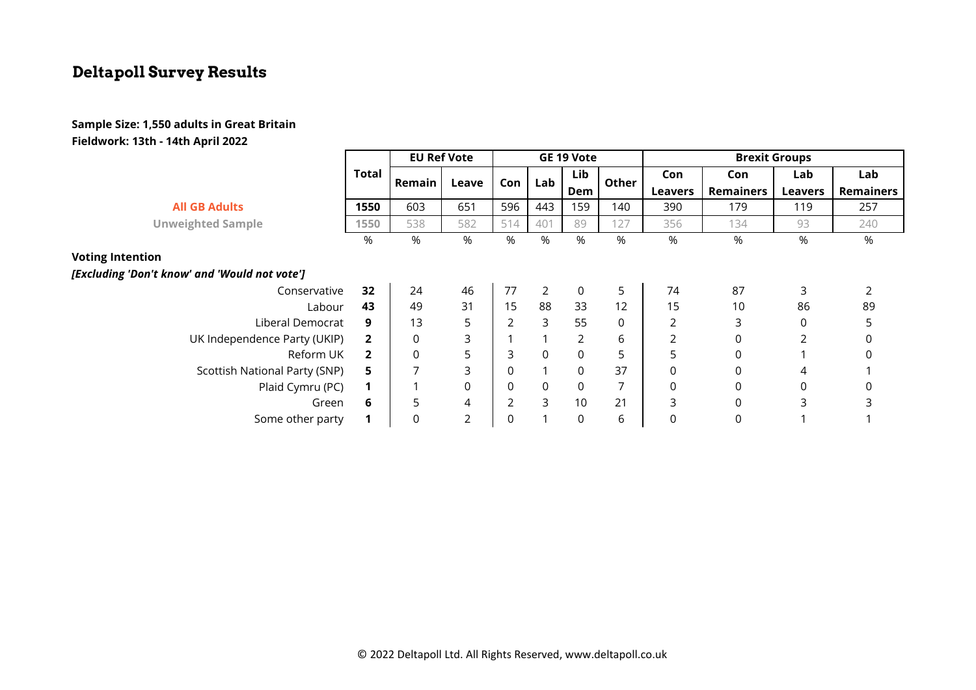#### **Sample Size: 1,550 adults in Great Britain Fieldwork: 13th - 14th April 2022**

|                                               |                | <b>EU Ref Vote</b> |             | GE 19 Vote     |                |                |       | <b>Brexit Groups</b> |                  |                |                  |
|-----------------------------------------------|----------------|--------------------|-------------|----------------|----------------|----------------|-------|----------------------|------------------|----------------|------------------|
|                                               | <b>Total</b>   | Remain             | Leave       | Con            | Lab            | Lib<br>Dem     | Other | Con                  | Con              | Lab            | Lab              |
|                                               |                |                    |             |                |                |                |       | <b>Leavers</b>       | <b>Remainers</b> | <b>Leavers</b> | <b>Remainers</b> |
| <b>All GB Adults</b>                          | 1550           | 603                | 651         | 596            | 443            | 159            | 140   | 390                  | 179              | 119            | 257              |
| <b>Unweighted Sample</b>                      | 1550           | 538                | 582         | 514            | 401            | 89             | 127   | 356                  | 134              | 93             | 240              |
|                                               | %              | %                  | %           | %              | $\%$           | %              | %     | %                    | %                | %              | %                |
| <b>Voting Intention</b>                       |                |                    |             |                |                |                |       |                      |                  |                |                  |
| [Excluding 'Don't know' and 'Would not vote'] |                |                    |             |                |                |                |       |                      |                  |                |                  |
| Conservative                                  | 32             | 24                 | 46          | 77             | $\overline{2}$ | $\overline{0}$ | 5     | 74                   | 87               | 3              |                  |
| Labour                                        | 43             | 49                 | 31          | 15             | 88             | 33             | 12    | 15                   | 10               | 86             | 89               |
| Liberal Democrat                              | 9              | 13                 | 5           | $\overline{2}$ | 3              | 55             | 0     | 2                    | 3                | $\mathbf 0$    | 5                |
| UK Independence Party (UKIP)                  | $\mathbf{2}$   | 0                  | 3           |                | 1              | $\overline{2}$ | 6     | 2                    | 0                | 2              | 0                |
| Reform UK                                     | $\overline{2}$ | $\Omega$           | 5           | 3              | $\Omega$       | $\mathbf 0$    | 5     | 5                    | 0                |                | $\Omega$         |
| Scottish National Party (SNP)                 | 5.             |                    | 3           | 0              |                | $\mathbf 0$    | 37    | 0                    | 0                | 4              |                  |
| Plaid Cymru (PC)                              |                |                    | $\mathbf 0$ | 0              | 0              | $\mathbf 0$    | 7     | 0                    | 0                | 0              | $\mathbf 0$      |
| Green                                         | 6              | 5                  | 4           | $\overline{2}$ | 3              | 10             | 21    | 3                    | 0                | 3              |                  |
| Some other party                              |                | 0                  | 2           | 0              |                | $\mathbf 0$    | 6     | 0                    | 0                |                |                  |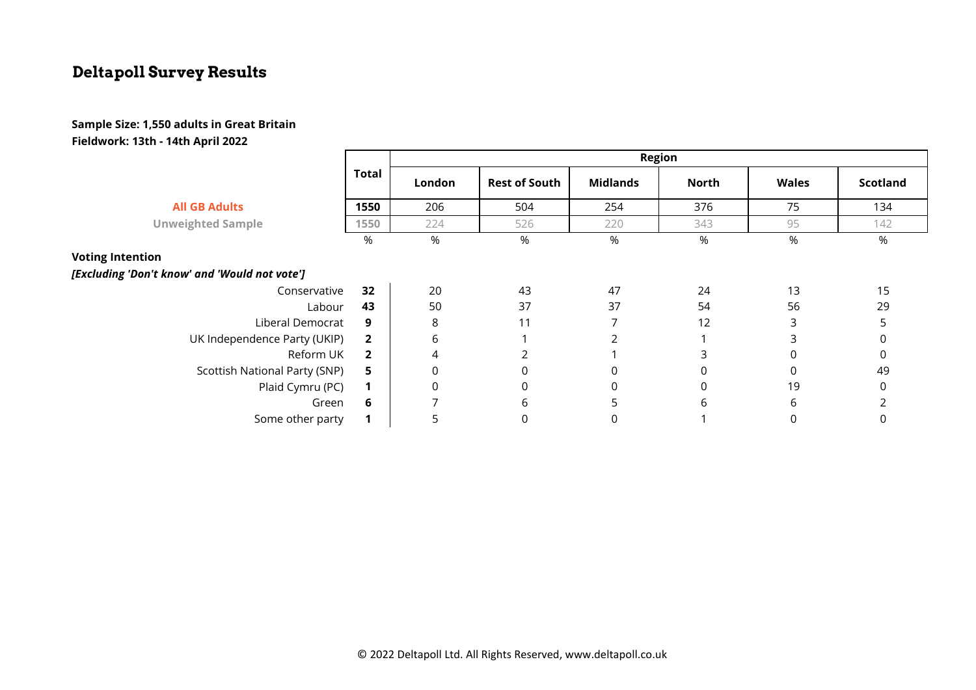#### **Sample Size: 1,550 adults in Great Britain Fieldwork: 13th - 14th April 2022**

|                                               |                | Region      |                      |                 |              |              |                 |  |  |  |
|-----------------------------------------------|----------------|-------------|----------------------|-----------------|--------------|--------------|-----------------|--|--|--|
|                                               | <b>Total</b>   | London      | <b>Rest of South</b> | <b>Midlands</b> | <b>North</b> | <b>Wales</b> | <b>Scotland</b> |  |  |  |
| <b>All GB Adults</b>                          | 1550           | 206         | 504                  | 254             | 376          | 75           | 134             |  |  |  |
| <b>Unweighted Sample</b>                      | 1550           | 224         | 526                  | 220             | 343          | 95           | 142             |  |  |  |
|                                               | %              | %           | %                    | %               | %            | %            | %               |  |  |  |
| <b>Voting Intention</b>                       |                |             |                      |                 |              |              |                 |  |  |  |
| [Excluding 'Don't know' and 'Would not vote'] |                |             |                      |                 |              |              |                 |  |  |  |
| Conservative                                  | 32             | 20          | 43                   | 47              | 24           | 13           | 15              |  |  |  |
| Labour                                        | 43             | 50          | 37                   | 37              | 54           | 56           | 29              |  |  |  |
| Liberal Democrat                              | 9              | 8           | 11                   |                 | 12           | 3            |                 |  |  |  |
| UK Independence Party (UKIP)                  | $\overline{2}$ | 6           |                      |                 |              | 3            |                 |  |  |  |
| Reform UK                                     | $\overline{2}$ | 4           | $\mathcal{P}$        |                 | ς            |              | $\Omega$        |  |  |  |
| Scottish National Party (SNP)                 | 5              | $\mathbf 0$ | 0                    | $\mathbf 0$     | 0            | 0            | 49              |  |  |  |
| Plaid Cymru (PC)                              | $\mathbf 1$    | $\mathbf 0$ | 0                    | $\mathbf 0$     | 0            | 19           | 0               |  |  |  |
| Green                                         | 6              |             | 6                    | 5               | 6            | 6            |                 |  |  |  |
| Some other party                              |                | 5           | 0                    | $\Omega$        |              |              |                 |  |  |  |